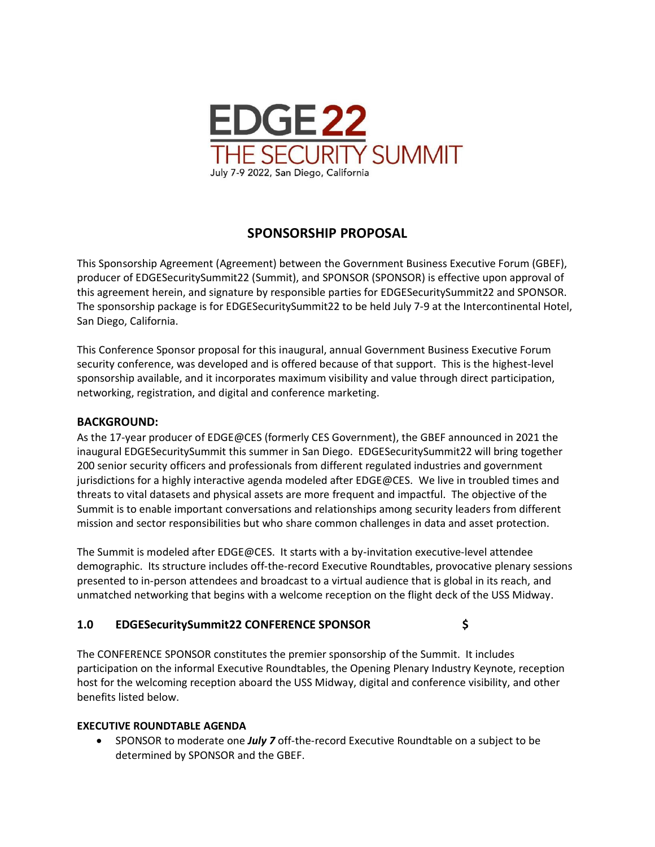

# **SPONSORSHIP PROPOSAL**

This Sponsorship Agreement (Agreement) between the Government Business Executive Forum (GBEF), producer of EDGESecuritySummit22 (Summit), and SPONSOR (SPONSOR) is effective upon approval of this agreement herein, and signature by responsible parties for EDGESecuritySummit22 and SPONSOR. The sponsorship package is for EDGESecuritySummit22 to be held July 7-9 at the Intercontinental Hotel, San Diego, California.

This Conference Sponsor proposal for this inaugural, annual Government Business Executive Forum security conference, was developed and is offered because of that support. This is the highest-level sponsorship available, and it incorporates maximum visibility and value through direct participation, networking, registration, and digital and conference marketing.

#### **BACKGROUND:**

As the 17-year producer of EDGE@CES (formerly CES Government), the GBEF announced in 2021 the inaugural EDGESecuritySummit this summer in San Diego. EDGESecuritySummit22 will bring together 200 senior security officers and professionals from different regulated industries and government jurisdictions for a highly interactive agenda modeled after EDGE@CES. We live in troubled times and threats to vital datasets and physical assets are more frequent and impactful. The objective of the Summit is to enable important conversations and relationships among security leaders from different mission and sector responsibilities but who share common challenges in data and asset protection.

The Summit is modeled after EDGE@CES. It starts with a by-invitation executive-level attendee demographic. Its structure includes off-the-record Executive Roundtables, provocative plenary sessions presented to in-person attendees and broadcast to a virtual audience that is global in its reach, and unmatched networking that begins with a welcome reception on the flight deck of the USS Midway.

#### **1.0 EDGESecuritySummit22 CONFERENCE SPONSOR \$**

The CONFERENCE SPONSOR constitutes the premier sponsorship of the Summit. It includes participation on the informal Executive Roundtables, the Opening Plenary Industry Keynote, reception host for the welcoming reception aboard the USS Midway, digital and conference visibility, and other benefits listed below.

#### **EXECUTIVE ROUNDTABLE AGENDA**

• SPONSOR to moderate one *July 7* off-the-record Executive Roundtable on a subject to be determined by SPONSOR and the GBEF.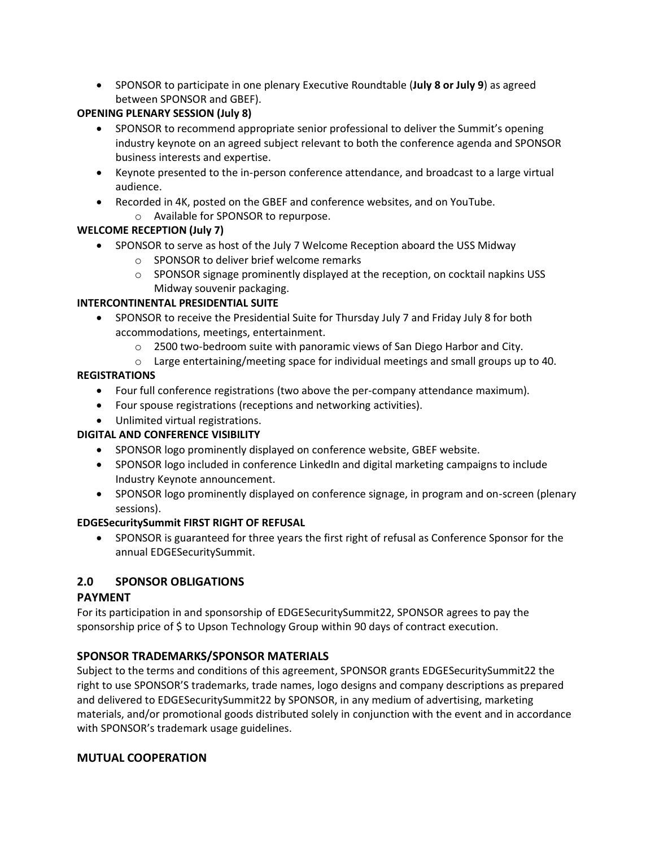• SPONSOR to participate in one plenary Executive Roundtable (**July 8 or July 9**) as agreed between SPONSOR and GBEF).

#### **OPENING PLENARY SESSION (July 8)**

- SPONSOR to recommend appropriate senior professional to deliver the Summit's opening industry keynote on an agreed subject relevant to both the conference agenda and SPONSOR business interests and expertise.
- Keynote presented to the in-person conference attendance, and broadcast to a large virtual audience.
- Recorded in 4K, posted on the GBEF and conference websites, and on YouTube.
	- o Available for SPONSOR to repurpose.

#### **WELCOME RECEPTION (July 7)**

- SPONSOR to serve as host of the July 7 Welcome Reception aboard the USS Midway
	- o SPONSOR to deliver brief welcome remarks
	- $\circ$  SPONSOR signage prominently displayed at the reception, on cocktail napkins USS Midway souvenir packaging.

#### **INTERCONTINENTAL PRESIDENTIAL SUITE**

- SPONSOR to receive the Presidential Suite for Thursday July 7 and Friday July 8 for both accommodations, meetings, entertainment.
	- $\circ$  2500 two-bedroom suite with panoramic views of San Diego Harbor and City.
	- $\circ$  Large entertaining/meeting space for individual meetings and small groups up to 40.

#### **REGISTRATIONS**

- Four full conference registrations (two above the per-company attendance maximum).
- Four spouse registrations (receptions and networking activities).
- Unlimited virtual registrations.

## **DIGITAL AND CONFERENCE VISIBILITY**

- SPONSOR logo prominently displayed on conference website, GBEF website.
- SPONSOR logo included in conference LinkedIn and digital marketing campaigns to include Industry Keynote announcement.
- SPONSOR logo prominently displayed on conference signage, in program and on-screen (plenary sessions).

## **EDGESecuritySummit FIRST RIGHT OF REFUSAL**

• SPONSOR is guaranteed for three years the first right of refusal as Conference Sponsor for the annual EDGESecuritySummit.

## **2.0 SPONSOR OBLIGATIONS**

## **PAYMENT**

For its participation in and sponsorship of EDGESecuritySummit22, SPONSOR agrees to pay the sponsorship price of \$ to Upson Technology Group within 90 days of contract execution.

## **SPONSOR TRADEMARKS/SPONSOR MATERIALS**

Subject to the terms and conditions of this agreement, SPONSOR grants EDGESecuritySummit22 the right to use SPONSOR'S trademarks, trade names, logo designs and company descriptions as prepared and delivered to EDGESecuritySummit22 by SPONSOR, in any medium of advertising, marketing materials, and/or promotional goods distributed solely in conjunction with the event and in accordance with SPONSOR's trademark usage guidelines.

## **MUTUAL COOPERATION**